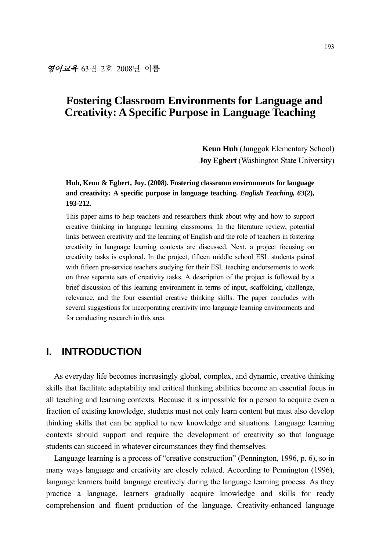**Keun Huh** (Junggok Elementary School) **Joy Egbert** (Washington State University)

## **Huh, Keun & Egbert, Joy. (2008). Fostering classroom environments for language and creativity: A specific purpose in language teaching.** *English Teaching, 63***(2), 193-212.**

This paper aims to help teachers and researchers think about why and how to support creative thinking in language learning classrooms. In the literature review, potential links between creativity and the learning of English and the role of teachers in fostering creativity in language learning contexts are discussed. Next, a project focusing on creativity tasks is explored. In the project, fifteen middle school ESL students paired with fifteen pre-service teachers studying for their ESL teaching endorsements to work on three separate sets of creativity tasks. A description of the project is followed by a brief discussion of this learning environment in terms of input, scaffolding, challenge, relevance, and the four essential creative thinking skills. The paper concludes with several suggestions for incorporating creativity into language learning environments and for conducting research in this area.

## **I. INTRODUCTION**

As everyday life becomes increasingly global, complex, and dynamic, creative thinking skills that facilitate adaptability and critical thinking abilities become an essential focus in all teaching and learning contexts. Because it is impossible for a person to acquire even a fraction of existing knowledge, students must not only learn content but must also develop thinking skills that can be applied to new knowledge and situations. Language learning contexts should support and require the development of creativity so that language students can succeed in whatever circumstances they find themselves.

Language learning is a process of "creative construction" (Pennington, 1996, p. 6), so in many ways language and creativity are closely related. According to Pennington (1996), language learners build language creatively during the language learning process. As they practice a language, learners gradually acquire knowledge and skills for ready comprehension and fluent production of the language. Creativity-enhanced language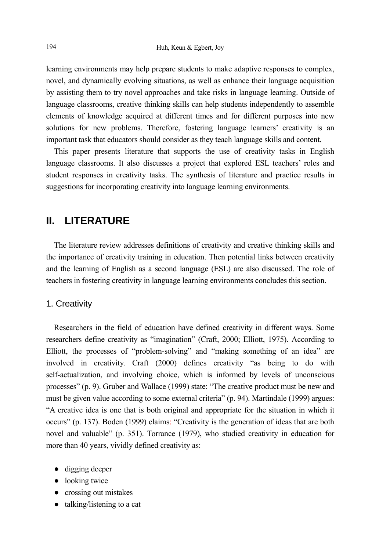learning environments may help prepare students to make adaptive responses to complex, novel, and dynamically evolving situations, as well as enhance their language acquisition by assisting them to try novel approaches and take risks in language learning. Outside of language classrooms, creative thinking skills can help students independently to assemble elements of knowledge acquired at different times and for different purposes into new solutions for new problems. Therefore, fostering language learners' creativity is an important task that educators should consider as they teach language skills and content.

This paper presents literature that supports the use of creativity tasks in English language classrooms. It also discusses a project that explored ESL teachers' roles and student responses in creativity tasks. The synthesis of literature and practice results in suggestions for incorporating creativity into language learning environments.

## **II. LITERATURE**

The literature review addresses definitions of creativity and creative thinking skills and the importance of creativity training in education. Then potential links between creativity and the learning of English as a second language (ESL) are also discussed. The role of teachers in fostering creativity in language learning environments concludes this section.

## 1. Creativity

Researchers in the field of education have defined creativity in different ways. Some researchers define creativity as "imagination" (Craft, 2000; Elliott, 1975). According to Elliott, the processes of "problem-solving" and "making something of an idea" are involved in creativity. Craft (2000) defines creativity "as being to do with self-actualization, and involving choice, which is informed by levels of unconscious processes" (p. 9). Gruber and Wallace (1999) state: "The creative product must be new and must be given value according to some external criteria" (p. 94). Martindale (1999) argues: "A creative idea is one that is both original and appropriate for the situation in which it occurs" (p. 137). Boden (1999) claims: "Creativity is the generation of ideas that are both novel and valuable" (p. 351). Torrance (1979), who studied creativity in education for more than 40 years, vividly defined creativity as:

- digging deeper
- looking twice
- crossing out mistakes
- talking/listening to a cat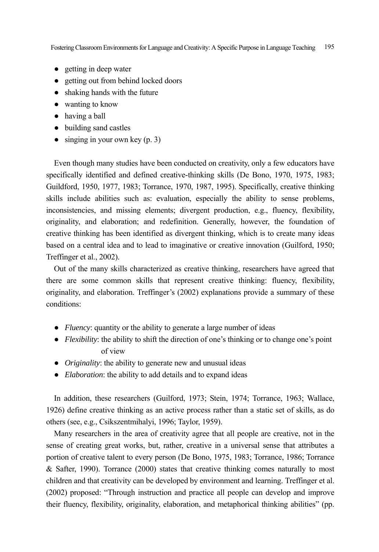- getting in deep water
- getting out from behind locked doors
- shaking hands with the future
- wanting to know
- having a ball
- building sand castles
- $\bullet$  singing in your own key (p. 3)

Even though many studies have been conducted on creativity, only a few educators have specifically identified and defined creative-thinking skills (De Bono, 1970, 1975, 1983; Guildford, 1950, 1977, 1983; Torrance, 1970, 1987, 1995). Specifically, creative thinking skills include abilities such as: evaluation, especially the ability to sense problems, inconsistencies, and missing elements; divergent production, e.g., fluency, flexibility, originality, and elaboration; and redefinition. Generally, however, the foundation of creative thinking has been identified as divergent thinking, which is to create many ideas based on a central idea and to lead to imaginative or creative innovation (Guilford, 1950; Treffinger et al., 2002).

Out of the many skills characterized as creative thinking, researchers have agreed that there are some common skills that represent creative thinking: fluency, flexibility, originality, and elaboration. Treffinger's (2002) explanations provide a summary of these conditions:

- *Fluency*: quantity or the ability to generate a large number of ideas
- *Flexibility*: the ability to shift the direction of one's thinking or to change one's point of view
- *Originality*: the ability to generate new and unusual ideas
- *Elaboration*: the ability to add details and to expand ideas

In addition, these researchers (Guilford, 1973; Stein, 1974; Torrance, 1963; Wallace, 1926) define creative thinking as an active process rather than a static set of skills, as do others (see, e.g., Csikszentmihalyi, 1996; Taylor, 1959).

Many researchers in the area of creativity agree that all people are creative, not in the sense of creating great works, but, rather, creative in a universal sense that attributes a portion of creative talent to every person (De Bono, 1975, 1983; Torrance, 1986; Torrance & Safter, 1990). Torrance (2000) states that creative thinking comes naturally to most children and that creativity can be developed by environment and learning. Treffinger et al. (2002) proposed: "Through instruction and practice all people can develop and improve their fluency, flexibility, originality, elaboration, and metaphorical thinking abilities" (pp.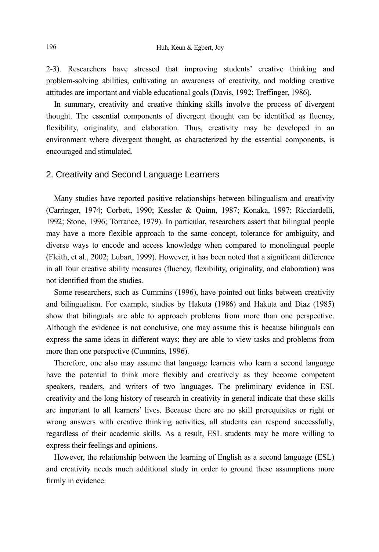2-3). Researchers have stressed that improving students' creative thinking and problem-solving abilities, cultivating an awareness of creativity, and molding creative attitudes are important and viable educational goals (Davis, 1992; Treffinger, 1986).

In summary, creativity and creative thinking skills involve the process of divergent thought. The essential components of divergent thought can be identified as fluency, flexibility, originality, and elaboration. Thus, creativity may be developed in an environment where divergent thought, as characterized by the essential components, is encouraged and stimulated.

#### 2. Creativity and Second Language Learners

Many studies have reported positive relationships between bilingualism and creativity (Carringer, 1974; Corbett, 1990; Kessler & Quinn, 1987; Konaka, 1997; Ricciardelli, 1992; Stone, 1996; Torrance, 1979). In particular, researchers assert that bilingual people may have a more flexible approach to the same concept, tolerance for ambiguity, and diverse ways to encode and access knowledge when compared to monolingual people (Fleith, et al., 2002; Lubart, 1999). However, it has been noted that a significant difference in all four creative ability measures (fluency, flexibility, originality, and elaboration) was not identified from the studies.

Some researchers, such as Cummins (1996), have pointed out links between creativity and bilingualism. For example, studies by Hakuta (1986) and Hakuta and Diaz (1985) show that bilinguals are able to approach problems from more than one perspective. Although the evidence is not conclusive, one may assume this is because bilinguals can express the same ideas in different ways; they are able to view tasks and problems from more than one perspective (Cummins, 1996).

Therefore, one also may assume that language learners who learn a second language have the potential to think more flexibly and creatively as they become competent speakers, readers, and writers of two languages. The preliminary evidence in ESL creativity and the long history of research in creativity in general indicate that these skills are important to all learners' lives. Because there are no skill prerequisites or right or wrong answers with creative thinking activities, all students can respond successfully, regardless of their academic skills. As a result, ESL students may be more willing to express their feelings and opinions.

However, the relationship between the learning of English as a second language (ESL) and creativity needs much additional study in order to ground these assumptions more firmly in evidence.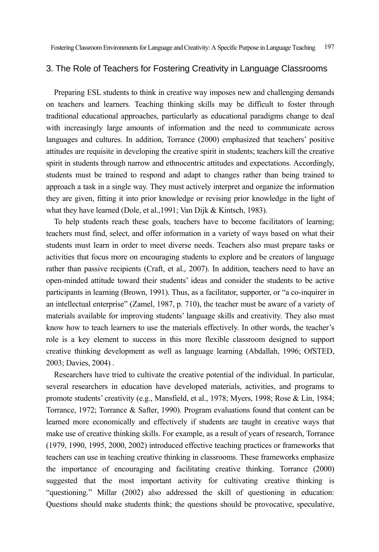### 3. The Role of Teachers for Fostering Creativity in Language Classrooms

Preparing ESL students to think in creative way imposes new and challenging demands on teachers and learners. Teaching thinking skills may be difficult to foster through traditional educational approaches, particularly as educational paradigms change to deal with increasingly large amounts of information and the need to communicate across languages and cultures. In addition, Torrance (2000) emphasized that teachers' positive attitudes are requisite in developing the creative spirit in students; teachers kill the creative spirit in students through narrow and ethnocentric attitudes and expectations. Accordingly, students must be trained to respond and adapt to changes rather than being trained to approach a task in a single way. They must actively interpret and organize the information they are given, fitting it into prior knowledge or revising prior knowledge in the light of what they have learned (Dole, et al.,1991; Van Dijk & Kintsch, 1983).

To help students reach these goals, teachers have to become facilitators of learning; teachers must find, select, and offer information in a variety of ways based on what their students must learn in order to meet diverse needs. Teachers also must prepare tasks or activities that focus more on encouraging students to explore and be creators of language rather than passive recipients (Craft, et al., 2007). In addition, teachers need to have an open-minded attitude toward their students' ideas and consider the students to be active participants in learning (Brown, 1991). Thus, as a facilitator, supporter, or "a co-inquirer in an intellectual enterprise" (Zamel, 1987, p. 710), the teacher must be aware of a variety of materials available for improving students' language skills and creativity. They also must know how to teach learners to use the materials effectively. In other words, the teacher's role is a key element to success in this more flexible classroom designed to support creative thinking development as well as language learning (Abdallah, 1996; OfSTED, 2003; Davies, 2004) .

Researchers have tried to cultivate the creative potential of the individual. In particular, several researchers in education have developed materials, activities, and programs to promote students' creativity (e.g., Mansfield, et al., 1978; Myers, 1998; Rose & Lin, 1984; Torrance, 1972; Torrance & Safter, 1990). Program evaluations found that content can be learned more economically and effectively if students are taught in creative ways that make use of creative thinking skills. For example, as a result of years of research, Torrance (1979, 1990, 1995, 2000, 2002) introduced effective teaching practices or frameworks that teachers can use in teaching creative thinking in classrooms. These frameworks emphasize the importance of encouraging and facilitating creative thinking. Torrance (2000) suggested that the most important activity for cultivating creative thinking is "questioning." Millar (2002) also addressed the skill of questioning in education: Questions should make students think; the questions should be provocative, speculative,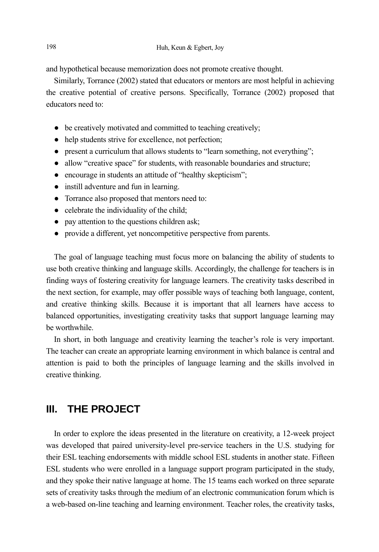and hypothetical because memorization does not promote creative thought.

Similarly, Torrance (2002) stated that educators or mentors are most helpful in achieving the creative potential of creative persons. Specifically, Torrance (2002) proposed that educators need to:

- be creatively motivated and committed to teaching creatively:
- help students strive for excellence, not perfection;
- present a curriculum that allows students to "learn something, not everything";
- allow "creative space" for students, with reasonable boundaries and structure;
- encourage in students an attitude of "healthy skepticism";
- instill adventure and fun in learning.
- Torrance also proposed that mentors need to:
- celebrate the individuality of the child;
- pay attention to the questions children ask;
- provide a different, yet noncompetitive perspective from parents.

The goal of language teaching must focus more on balancing the ability of students to use both creative thinking and language skills. Accordingly, the challenge for teachers is in finding ways of fostering creativity for language learners. The creativity tasks described in the next section, for example, may offer possible ways of teaching both language, content, and creative thinking skills. Because it is important that all learners have access to balanced opportunities, investigating creativity tasks that support language learning may be worthwhile.

In short, in both language and creativity learning the teacher's role is very important. The teacher can create an appropriate learning environment in which balance is central and attention is paid to both the principles of language learning and the skills involved in creative thinking.

## **III. THE PROJECT**

In order to explore the ideas presented in the literature on creativity, a 12-week project was developed that paired university-level pre-service teachers in the U.S. studying for their ESL teaching endorsements with middle school ESL students in another state. Fifteen ESL students who were enrolled in a language support program participated in the study, and they spoke their native language at home. The 15 teams each worked on three separate sets of creativity tasks through the medium of an electronic communication forum which is a web-based on-line teaching and learning environment. Teacher roles, the creativity tasks,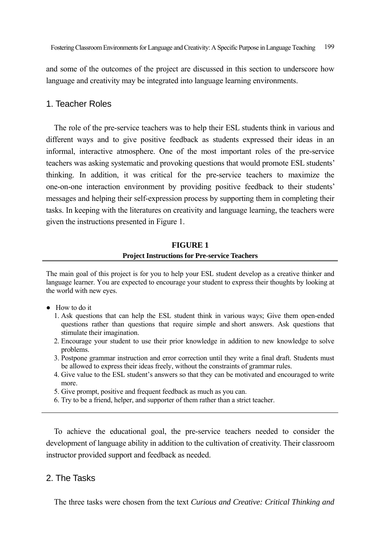and some of the outcomes of the project are discussed in this section to underscore how language and creativity may be integrated into language learning environments.

## 1. Teacher Roles

The role of the pre-service teachers was to help their ESL students think in various and different ways and to give positive feedback as students expressed their ideas in an informal, interactive atmosphere. One of the most important roles of the pre-service teachers was asking systematic and provoking questions that would promote ESL students' thinking. In addition, it was critical for the pre-service teachers to maximize the one-on-one interaction environment by providing positive feedback to their students' messages and helping their self-expression process by supporting them in completing their tasks. In keeping with the literatures on creativity and language learning, the teachers were given the instructions presented in Figure 1.

## **FIGURE 1 Project Instructions for Pre-service Teachers**

The main goal of this project is for you to help your ESL student develop as a creative thinker and language learner. You are expected to encourage your student to express their thoughts by looking at the world with new eyes.

- How to do it
	- 1. Ask questions that can help the ESL student think in various ways; Give them open-ended questions rather than questions that require simple and short answers. Ask questions that stimulate their imagination.
	- 2. Encourage your student to use their prior knowledge in addition to new knowledge to solve problems.
	- 3. Postpone grammar instruction and error correction until they write a final draft. Students must be allowed to express their ideas freely, without the constraints of grammar rules.
	- 4. Give value to the ESL student's answers so that they can be motivated and encouraged to write more.
	- 5. Give prompt, positive and frequent feedback as much as you can.
	- 6. Try to be a friend, helper, and supporter of them rather than a strict teacher.

To achieve the educational goal, the pre-service teachers needed to consider the development of language ability in addition to the cultivation of creativity. Their classroom instructor provided support and feedback as needed.

## 2. The Tasks

The three tasks were chosen from the text *Curious and Creative: Critical Thinking and*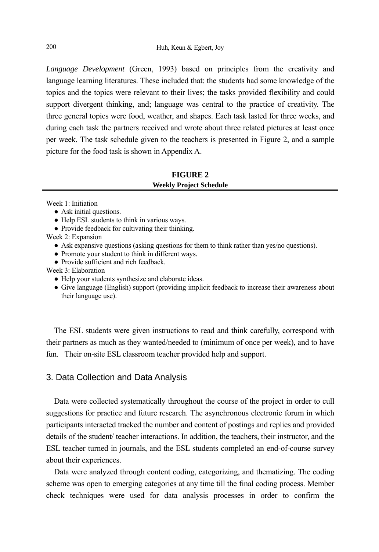*Language Development* (Green, 1993) based on principles from the creativity and language learning literatures. These included that: the students had some knowledge of the topics and the topics were relevant to their lives; the tasks provided flexibility and could support divergent thinking, and; language was central to the practice of creativity. The three general topics were food, weather, and shapes. Each task lasted for three weeks, and during each task the partners received and wrote about three related pictures at least once per week. The task schedule given to the teachers is presented in Figure 2, and a sample picture for the food task is shown in Appendix A.

## **FIGURE 2 Weekly Project Schedule**

Week 1: Initiation

- Ask initial questions.
- Help ESL students to think in various ways.
- Provide feedback for cultivating their thinking.

Week 2: Expansion

- Ask expansive questions (asking questions for them to think rather than yes/no questions).
- Promote your student to think in different ways.
- Provide sufficient and rich feedback.

Week 3: Elaboration

- Help your students synthesize and elaborate ideas.
- Give language (English) support (providing implicit feedback to increase their awareness about their language use).

The ESL students were given instructions to read and think carefully, correspond with their partners as much as they wanted/needed to (minimum of once per week), and to have fun. Their on-site ESL classroom teacher provided help and support.

## 3. Data Collection and Data Analysis

Data were collected systematically throughout the course of the project in order to cull suggestions for practice and future research. The asynchronous electronic forum in which participants interacted tracked the number and content of postings and replies and provided details of the student/ teacher interactions. In addition, the teachers, their instructor, and the ESL teacher turned in journals, and the ESL students completed an end-of-course survey about their experiences.

Data were analyzed through content coding, categorizing, and thematizing. The coding scheme was open to emerging categories at any time till the final coding process. Member check techniques were used for data analysis processes in order to confirm the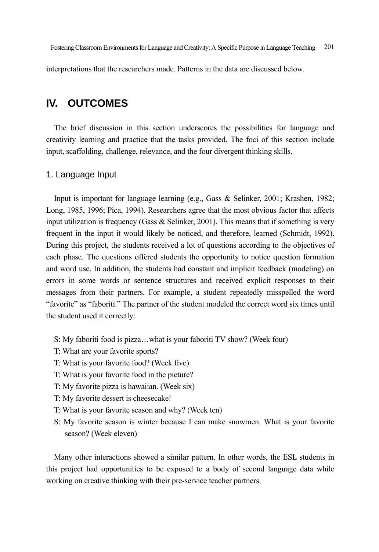interpretations that the researchers made. Patterns in the data are discussed below.

## **IV. OUTCOMES**

The brief discussion in this section underscores the possibilities for language and creativity learning and practice that the tasks provided. The foci of this section include input, scaffolding, challenge, relevance, and the four divergent thinking skills.

#### 1. Language Input

Input is important for language learning (e.g., Gass & Selinker, 2001; Krashen, 1982; Long, 1985, 1996; Pica, 1994). Researchers agree that the most obvious factor that affects input utilization is frequency (Gass & Selinker, 2001). This means that if something is very frequent in the input it would likely be noticed, and therefore, learned (Schmidt, 1992). During this project, the students received a lot of questions according to the objectives of each phase. The questions offered students the opportunity to notice question formation and word use. In addition, the students had constant and implicit feedback (modeling) on errors in some words or sentence structures and received explicit responses to their messages from their partners. For example, a student repeatedly misspelled the word "favorite" as "faboriti." The partner of the student modeled the correct word six times until the student used it correctly:

- S: My faboriti food is pizza…what is your faboriti TV show? (Week four)
- T: What are your favorite sports?
- T: What is your favorite food? (Week five)
- T: What is your favorite food in the picture?
- T: My favorite pizza is hawaiian. (Week six)
- T: My favorite dessert is cheesecake!
- T: What is your favorite season and why? (Week ten)
- S: My favorite season is winter because I can make snowmen. What is your favorite season? (Week eleven)

Many other interactions showed a similar pattern. In other words, the ESL students in this project had opportunities to be exposed to a body of second language data while working on creative thinking with their pre-service teacher partners.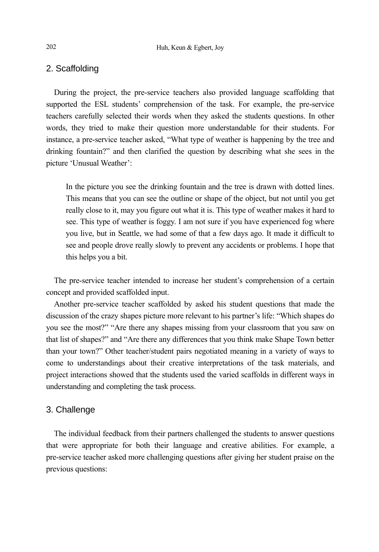## 2. Scaffolding

During the project, the pre-service teachers also provided language scaffolding that supported the ESL students' comprehension of the task. For example, the pre-service teachers carefully selected their words when they asked the students questions. In other words, they tried to make their question more understandable for their students. For instance, a pre-service teacher asked, "What type of weather is happening by the tree and drinking fountain?" and then clarified the question by describing what she sees in the picture 'Unusual Weather':

In the picture you see the drinking fountain and the tree is drawn with dotted lines. This means that you can see the outline or shape of the object, but not until you get really close to it, may you figure out what it is. This type of weather makes it hard to see. This type of weather is foggy. I am not sure if you have experienced fog where you live, but in Seattle, we had some of that a few days ago. It made it difficult to see and people drove really slowly to prevent any accidents or problems. I hope that this helps you a bit.

The pre-service teacher intended to increase her student's comprehension of a certain concept and provided scaffolded input.

Another pre-service teacher scaffolded by asked his student questions that made the discussion of the crazy shapes picture more relevant to his partner's life: "Which shapes do you see the most?" "Are there any shapes missing from your classroom that you saw on that list of shapes?" and "Are there any differences that you think make Shape Town better than your town?" Other teacher/student pairs negotiated meaning in a variety of ways to come to understandings about their creative interpretations of the task materials, and project interactions showed that the students used the varied scaffolds in different ways in understanding and completing the task process.

### 3. Challenge

The individual feedback from their partners challenged the students to answer questions that were appropriate for both their language and creative abilities. For example, a pre-service teacher asked more challenging questions after giving her student praise on the previous questions: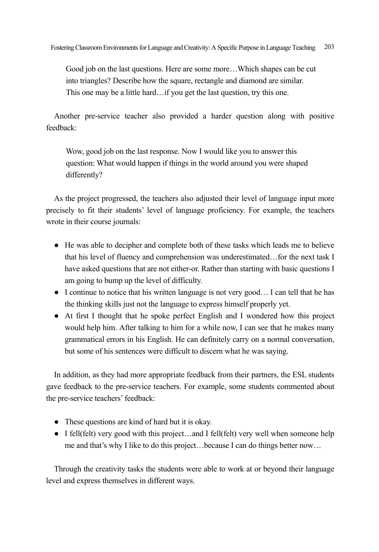Good job on the last questions. Here are some more…Which shapes can be cut into triangles? Describe how the square, rectangle and diamond are similar. This one may be a little hard…if you get the last question, try this one.

Another pre-service teacher also provided a harder question along with positive feedback:

Wow, good job on the last response. Now I would like you to answer this question: What would happen if things in the world around you were shaped differently?

As the project progressed, the teachers also adjusted their level of language input more precisely to fit their students' level of language proficiency. For example, the teachers wrote in their course journals:

- He was able to decipher and complete both of these tasks which leads me to believe that his level of fluency and comprehension was underestimated…for the next task I have asked questions that are not either-or. Rather than starting with basic questions I am going to bump up the level of difficulty.
- I continue to notice that his written language is not very good… I can tell that he has the thinking skills just not the language to express himself properly yet.
- At first I thought that he spoke perfect English and I wondered how this project would help him. After talking to him for a while now, I can see that he makes many grammatical errors in his English. He can definitely carry on a normal conversation, but some of his sentences were difficult to discern what he was saying.

In addition, as they had more appropriate feedback from their partners, the ESL students gave feedback to the pre-service teachers. For example, some students commented about the pre-service teachers' feedback:

- These questions are kind of hard but it is okay.
- I fell(felt) very good with this project...and I fell(felt) very well when someone help me and that's why I like to do this project…because I can do things better now…

Through the creativity tasks the students were able to work at or beyond their language level and express themselves in different ways.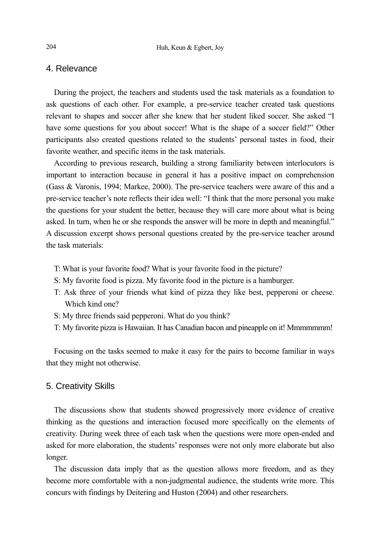## 4. Relevance

During the project, the teachers and students used the task materials as a foundation to ask questions of each other. For example, a pre-service teacher created task questions relevant to shapes and soccer after she knew that her student liked soccer. She asked "I have some questions for you about soccer! What is the shape of a soccer field?" Other participants also created questions related to the students' personal tastes in food, their favorite weather, and specific items in the task materials.

According to previous research, building a strong familiarity between interlocutors is important to interaction because in general it has a positive impact on comprehension (Gass & Varonis, 1994; Markee, 2000). The pre-service teachers were aware of this and a pre-service teacher's note reflects their idea well: "I think that the more personal you make the questions for your student the better, because they will care more about what is being asked. In turn, when he or she responds the answer will be more in depth and meaningful." A discussion excerpt shows personal questions created by the pre-service teacher around the task materials:

- T: What is your favorite food? What is your favorite food in the picture?
- S: My favorite food is pizza. My favorite food in the picture is a hamburger.
- T: Ask three of your friends what kind of pizza they like best, pepperoni or cheese. Which kind one?
- S: My three friends said pepperoni. What do you think?
- T: My favorite pizza is Hawaiian. It has Canadian bacon and pineapple on it! Mmmmmmm!

Focusing on the tasks seemed to make it easy for the pairs to become familiar in ways that they might not otherwise.

#### 5. Creativity Skills

The discussions show that students showed progressively more evidence of creative thinking as the questions and interaction focused more specifically on the elements of creativity. During week three of each task when the questions were more open-ended and asked for more elaboration, the students' responses were not only more elaborate but also longer.

The discussion data imply that as the question allows more freedom, and as they become more comfortable with a non-judgmental audience, the students write more. This concurs with findings by Deitering and Huston (2004) and other researchers.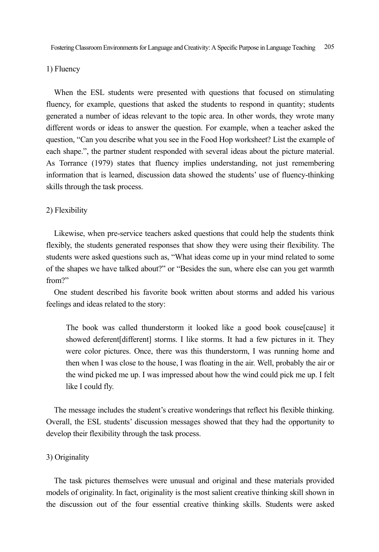#### 1) Fluency

When the ESL students were presented with questions that focused on stimulating fluency, for example, questions that asked the students to respond in quantity; students generated a number of ideas relevant to the topic area. In other words, they wrote many different words or ideas to answer the question. For example, when a teacher asked the question, "Can you describe what you see in the Food Hop worksheet? List the example of each shape.", the partner student responded with several ideas about the picture material. As Torrance (1979) states that fluency implies understanding, not just remembering information that is learned, discussion data showed the students' use of fluency-thinking skills through the task process.

#### 2) Flexibility

Likewise, when pre-service teachers asked questions that could help the students think flexibly, the students generated responses that show they were using their flexibility. The students were asked questions such as, "What ideas come up in your mind related to some of the shapes we have talked about?" or "Besides the sun, where else can you get warmth from?"

One student described his favorite book written about storms and added his various feelings and ideas related to the story:

The book was called thunderstorm it looked like a good book couse[cause] it showed deferent[different] storms. I like storms. It had a few pictures in it. They were color pictures. Once, there was this thunderstorm, I was running home and then when I was close to the house, I was floating in the air. Well, probably the air or the wind picked me up. I was impressed about how the wind could pick me up. I felt like I could fly.

The message includes the student's creative wonderings that reflect his flexible thinking. Overall, the ESL students' discussion messages showed that they had the opportunity to develop their flexibility through the task process.

#### 3) Originality

The task pictures themselves were unusual and original and these materials provided models of originality. In fact, originality is the most salient creative thinking skill shown in the discussion out of the four essential creative thinking skills. Students were asked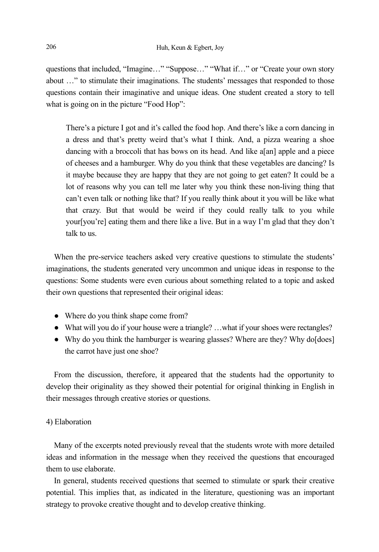questions that included, "Imagine…" "Suppose…" "What if…" or "Create your own story about …" to stimulate their imaginations. The students' messages that responded to those questions contain their imaginative and unique ideas. One student created a story to tell what is going on in the picture "Food Hop":

There's a picture I got and it's called the food hop. And there's like a corn dancing in a dress and that's pretty weird that's what I think. And, a pizza wearing a shoe dancing with a broccoli that has bows on its head. And like a[an] apple and a piece of cheeses and a hamburger. Why do you think that these vegetables are dancing? Is it maybe because they are happy that they are not going to get eaten? It could be a lot of reasons why you can tell me later why you think these non-living thing that can't even talk or nothing like that? If you really think about it you will be like what that crazy. But that would be weird if they could really talk to you while your[you're] eating them and there like a live. But in a way I'm glad that they don't talk to us.

When the pre-service teachers asked very creative questions to stimulate the students' imaginations, the students generated very uncommon and unique ideas in response to the questions: Some students were even curious about something related to a topic and asked their own questions that represented their original ideas:

- Where do you think shape come from?
- What will you do if your house were a triangle? ... what if your shoes were rectangles?
- Why do you think the hamburger is wearing glasses? Where are they? Why do [does] the carrot have just one shoe?

From the discussion, therefore, it appeared that the students had the opportunity to develop their originality as they showed their potential for original thinking in English in their messages through creative stories or questions.

#### 4) Elaboration

Many of the excerpts noted previously reveal that the students wrote with more detailed ideas and information in the message when they received the questions that encouraged them to use elaborate.

In general, students received questions that seemed to stimulate or spark their creative potential. This implies that, as indicated in the literature, questioning was an important strategy to provoke creative thought and to develop creative thinking.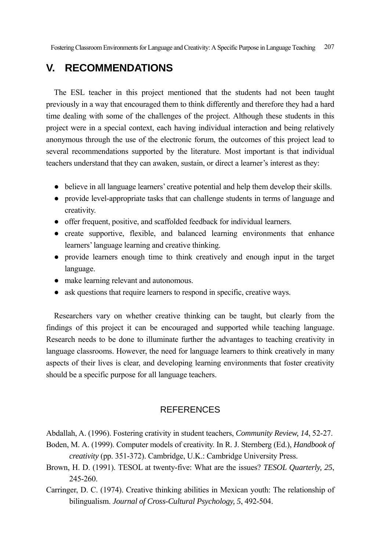# **V. RECOMMENDATIONS**

The ESL teacher in this project mentioned that the students had not been taught previously in a way that encouraged them to think differently and therefore they had a hard time dealing with some of the challenges of the project. Although these students in this project were in a special context, each having individual interaction and being relatively anonymous through the use of the electronic forum, the outcomes of this project lead to several recommendations supported by the literature. Most important is that individual teachers understand that they can awaken, sustain, or direct a learner's interest as they:

- believe in all language learners' creative potential and help them develop their skills.
- provide level-appropriate tasks that can challenge students in terms of language and creativity.
- offer frequent, positive, and scaffolded feedback for individual learners.
- create supportive, flexible, and balanced learning environments that enhance learners' language learning and creative thinking.
- provide learners enough time to think creatively and enough input in the target language.
- make learning relevant and autonomous.
- ask questions that require learners to respond in specific, creative ways.

Researchers vary on whether creative thinking can be taught, but clearly from the findings of this project it can be encouraged and supported while teaching language. Research needs to be done to illuminate further the advantages to teaching creativity in language classrooms. However, the need for language learners to think creatively in many aspects of their lives is clear, and developing learning environments that foster creativity should be a specific purpose for all language teachers.

## **REFERENCES**

Abdallah, A. (1996). Fostering crativity in student teachers, *Community Review, 14*, 52-27.

- Boden, M. A. (1999). Computer models of creativity. In R. J. Sternberg (Ed.), *Handbook of creativity* (pp. 351-372). Cambridge, U.K.: Cambridge University Press.
- Brown, H. D. (1991). TESOL at twenty-five: What are the issues? *TESOL Quarterly, 25*, 245-260.
- Carringer, D. C. (1974). Creative thinking abilities in Mexican youth: The relationship of bilingualism. *Journal of Cross-Cultural Psychology, 5*, 492-504.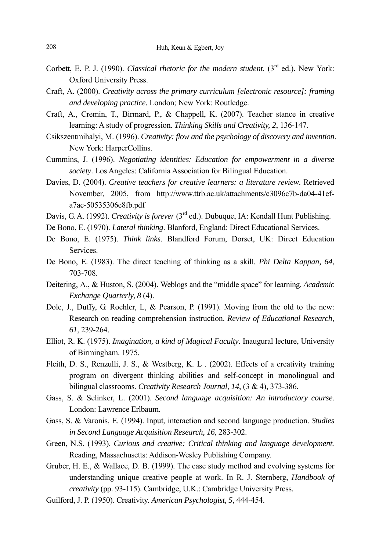- Corbett, E. P. J. (1990). *Classical rhetoric for the modern student*. (3rd ed.). New York: Oxford University Press.
- Craft, A. (2000). *Creativity across the primary curriculum [electronic resource]: framing and developing practice.* London; New York: Routledge.
- Craft, A., Cremin, T., Birmard, P., & Chappell, K. (2007). Teacher stance in creative learning: A study of progression. *Thinking Skills and Creativity, 2*, 136-147.
- Csikszentmihalyi, M. (1996). *Creativity: flow and the psychology of discovery and invention*. New York: HarperCollins.
- Cummins, J. (1996). *Negotiating identities: Education for empowerment in a diverse society*. Los Angeles: California Association for Bilingual Education.
- Davies, D. (2004). *Creative teachers for creative learners: a literature review*. Retrieved November, 2005, from http://www.ttrb.ac.uk/attachments/c3096c7b-da04-41efa7ac-50535306e8fb.pdf
- Davis, G. A. (1992). *Creativity is forever* (3<sup>rd</sup> ed.). Dubuque, IA: Kendall Hunt Publishing.
- De Bono, E. (1970). *Lateral thinking*. Blanford, England: Direct Educational Services.
- De Bono, E. (1975). *Think links*. Blandford Forum, Dorset, UK: Direct Education Services.
- De Bono, E. (1983). The direct teaching of thinking as a skill. *Phi Delta Kappan, 64*, 703-708.
- Deitering, A., & Huston, S. (2004). Weblogs and the "middle space" for learning. *Academic Exchange Quarterly, 8* (4).
- Dole, J., Duffy, G. Roehler, L, & Pearson, P. (1991). Moving from the old to the new: Research on reading comprehension instruction. *Review of Educational Research*, *61*, 239-264.
- Elliot, R. K. (1975). *Imagination, a kind of Magical Faculty*. Inaugural lecture, University of Birmingham. 1975.
- Fleith, D. S., Renzulli, J. S., & Westberg, K. L . (2002). Effects of a creativity training program on divergent thinking abilities and self-concept in monolingual and bilingual classrooms. *Creativity Research Journal, 14*, (3 & 4), 373-386.
- Gass, S. & Selinker, L. (2001). *Second language acquisition: An introductory course*. London: Lawrence Erlbaum.
- Gass, S. & Varonis, E. (1994). Input, interaction and second language production. *Studies in Second Language Acquisition Research, 16*, 283-302.
- Green, N.S. (1993). *Curious and creative: Critical thinking and language development.* Reading, Massachusetts: Addison-Wesley Publishing Company.
- Gruber, H. E., & Wallace, D. B. (1999). The case study method and evolving systems for understanding unique creative people at work. In R. J. Sternberg, *Handbook of creativity* (pp. 93-115). Cambridge, U.K.: Cambridge University Press.
- Guilford, J. P. (1950). Creativity. *American Psychologist, 5*, 444-454.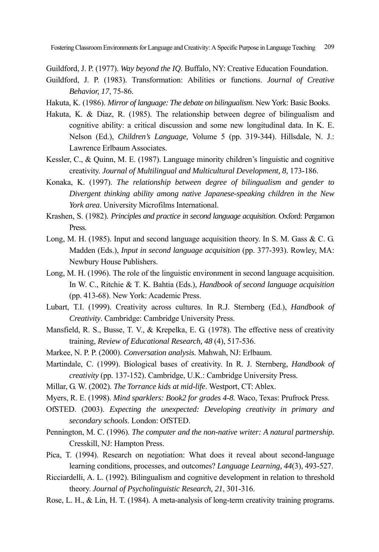Guildford, J. P. (1977). *Way beyond the IQ*. Buffalo, NY: Creative Education Foundation.

- Guildford, J. P. (1983). Transformation: Abilities or functions. *Journal of Creative Behavior, 17*, 75-86.
- Hakuta, K. (1986). *Mirror of language: The debate on bilingualism*. New York: Basic Books.
- Hakuta, K. & Diaz, R. (1985). The relationship between degree of bilingualism and cognitive ability: a critical discussion and some new longitudinal data. In K. E. Nelson (Ed.), *Children's Language*, Volume 5 (pp. 319-344). Hillsdale, N. J.: Lawrence Erlbaum Associates.
- Kessler, C., & Quinn, M. E. (1987). Language minority children's linguistic and cognitive creativity. *Journal of Multilingual and Multicultural Development, 8,* 173-186.
- Konaka, K. (1997). *The relationship between degree of bilingualism and gender to Divergent thinking ability among native Japanese-speaking children in the New York area*. University Microfilms International.
- Krashen, S. (1982). *Principles and practice in second language acquisition*. Oxford: Pergamon Press.
- Long, M. H. (1985). Input and second language acquisition theory. In S. M. Gass  $\& C. G.$ Madden (Eds.), *Input in second language acquisition* (pp. 377-393). Rowley, MA: Newbury House Publishers.
- Long, M. H. (1996). The role of the linguistic environment in second language acquisition. In W. C., Ritchie & T. K. Bahtia (Eds.), *Handbook of second language acquisition* (pp. 413-68). New York: Academic Press.
- Lubart, T.I. (1999). Creativity across cultures. In R.J. Sternberg (Ed.), *Handbook of Creativity*. Cambridge: Cambridge University Press.
- Mansfield, R. S., Busse, T. V., & Krepelka, E. G. (1978). The effective ness of creativity training, *Review of Educational Research, 48* (4), 517-536.
- Markee, N. P. P. (2000). *Conversation analysis.* Mahwah, NJ: Erlbaum.
- Martindale, C. (1999). Biological bases of creativity. In R. J. Sternberg, *Handbook of creativity* (pp. 137-152). Cambridge, U.K.: Cambridge University Press.
- Millar, G. W. (2002). *The Torrance kids at mid-life*. Westport, CT: Ablex.
- Myers, R. E. (1998). *Mind sparklers: Book2 for grades 4-8.* Waco, Texas: Prufrock Press.
- OfSTED. (2003). *Expecting the unexpected: Developing creativity in primary and secondary schools*. London: OfSTED.
- Pennington, M. C. (1996). *The computer and the non-native writer: A natural partnership.* Cresskill, NJ: Hampton Press.
- Pica, T. (1994). Research on negotiation: What does it reveal about second-language learning conditions, processes, and outcomes? *Language Learning, 44*(3), 493-527.
- Ricciardelli, A. L. (1992). Bilingualism and cognitive development in relation to threshold theory. *Journal of Psycholinguistic Research, 21*, 301-316.
- Rose, L. H., & Lin, H. T. (1984). A meta-analysis of long-term creativity training programs.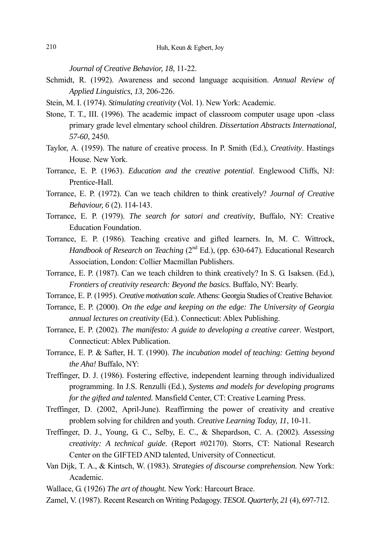*Journal of Creative Behavior, 18*, 11-22.

- Schmidt, R. (1992). Awareness and second language acquisition. *Annual Review of Applied Linguistics, 13*, 206-226.
- Stein, M. I. (1974). *Stimulating creativity* (Vol. 1). New York: Academic.
- Stone, T. T., III. (1996). The academic impact of classroom computer usage upon -class primary grade level elmentary school children. *Dissertation Abstracts International, 57-60*, 2450.
- Taylor, A. (1959). The nature of creative process. In P. Smith (Ed.), *Creativity*. Hastings House. New York.
- Torrance, E. P. (1963). *Education and the creative potential*. Englewood Cliffs, NJ: Prentice-Hall.
- Torrance, E. P. (1972). Can we teach children to think creatively? *Journal of Creative Behaviour, 6* (2). 114-143.
- Torrance, E. P. (1979). *The search for satori and creativity*, Buffalo, NY: Creative Education Foundation.
- Torrance, E. P. (1986). Teaching creative and gifted learners. In, M. C. Wittrock, *Handbook of Research on Teaching* (2<sup>nd</sup> Ed.), (pp. 630-647). Educational Research Association, London: Collier Macmillan Publishers.
- Torrance, E. P. (1987). Can we teach children to think creatively? In S. G. Isaksen. (Ed.), *Frontiers of creativity research: Beyond the basics.* Buffalo, NY: Bearly.
- Torrance, E. P. (1995). *Creative motivation scale*. Athens: Georgia Studies of Creative Behavior.
- Torrance, E. P. (2000). *On the edge and keeping on the edge: The University of Georgia annual lectures on creativity* (Ed.). Connecticut: Ablex Publishing.
- Torrance, E. P. (2002). *The manifesto: A guide to developing a creative career*. Westport, Connecticut: Ablex Publication.
- Torrance, E. P. & Safter, H. T. (1990). *The incubation model of teaching: Getting beyond the Aha!* Buffalo, NY:
- Treffinger, D. J. (1986). Fostering effective, independent learning through individualized programming. In J.S. Renzulli (Ed.), *Systems and models for developing programs for the gifted and talented.* Mansfield Center, CT: Creative Learning Press.
- Treffinger, D. (2002, April-June). Reaffirming the power of creativity and creative problem solving for children and youth. *Creative Learning Today, 11*, 10-11.
- Treffinger, D. J., Young, G. C., Selby, E. C., & Shepardson, C. A. (2002). *Assessing creativity: A technical guide.* (Report #02170). Storrs, CT: National Research Center on the GIFTED AND talented, University of Connecticut.
- Van Dijk, T. A., & Kintsch, W. (1983). *Strategies of discourse comprehension.* New York: Academic.
- Wallace, G. (1926) *The art of thought.* New York: Harcourt Brace.
- Zamel, V. (1987). Recent Research on Writing Pedagogy. *TESOL Quarterly, 21* (4), 697-712.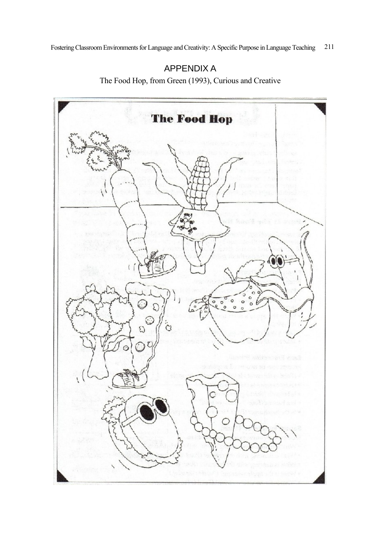# APPENDIX A

The Food Hop, from Green (1993), Curious and Creative